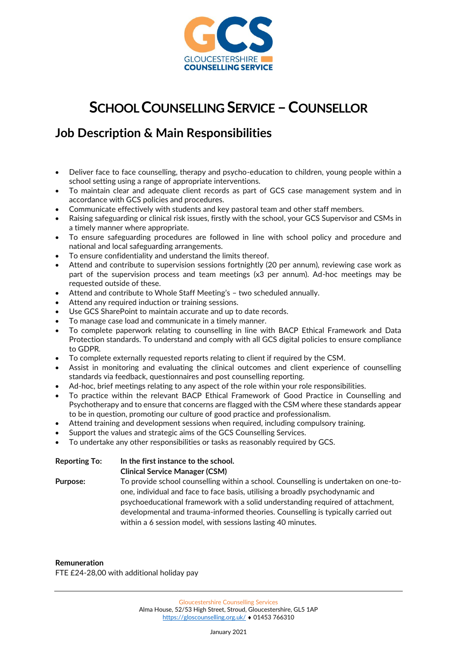

## **SCHOOL COUNSELLING SERVICE –COUNSELLOR**

## **Job Description & Main Responsibilities**

- Deliver face to face counselling, therapy and psycho-education to children, young people within a school setting using a range of appropriate interventions.
- To maintain clear and adequate client records as part of GCS case management system and in accordance with GCS policies and procedures.
- Communicate effectively with students and key pastoral team and other staff members.
- Raising safeguarding or clinical risk issues, firstly with the school, your GCS Supervisor and CSMs in a timely manner where appropriate.
- To ensure safeguarding procedures are followed in line with school policy and procedure and national and local safeguarding arrangements.
- To ensure confidentiality and understand the limits thereof.
- Attend and contribute to supervision sessions fortnightly (20 per annum), reviewing case work as part of the supervision process and team meetings (x3 per annum). Ad-hoc meetings may be requested outside of these.
- Attend and contribute to Whole Staff Meeting's two scheduled annually.
- Attend any required induction or training sessions.
- Use GCS SharePoint to maintain accurate and up to date records.
- To manage case load and communicate in a timely manner.
- To complete paperwork relating to counselling in line with BACP Ethical Framework and Data Protection standards. To understand and comply with all GCS digital policies to ensure compliance to GDPR.
- To complete externally requested reports relating to client if required by the CSM.
- Assist in monitoring and evaluating the clinical outcomes and client experience of counselling standards via feedback, questionnaires and post counselling reporting.
- Ad-hoc, brief meetings relating to any aspect of the role within your role responsibilities.
- To practice within the relevant BACP Ethical Framework of Good Practice in Counselling and Psychotherapy and to ensure that concerns are flagged with the CSM where these standards appear to be in question, promoting our culture of good practice and professionalism.
- Attend training and development sessions when required, including compulsory training.
- Support the values and strategic aims of the GCS Counselling Services.
- To undertake any other responsibilities or tasks as reasonably required by GCS.

| <b>Reporting To:</b> | In the first instance to the school.                                                |
|----------------------|-------------------------------------------------------------------------------------|
|                      | <b>Clinical Service Manager (CSM)</b>                                               |
| <b>Purpose:</b>      | To provide school counselling within a school. Counselling is undertaken on one-to- |
|                      | one, individual and face to face basis, utilising a broadly psychodynamic and       |
|                      | psychoeducational framework with a solid understanding required of attachment,      |
|                      | developmental and trauma-informed theories. Counselling is typically carried out    |
|                      | within a 6 session model, with sessions lasting 40 minutes.                         |

**Remuneration** FTE £24-28,00 with additional holiday pay

January 2021